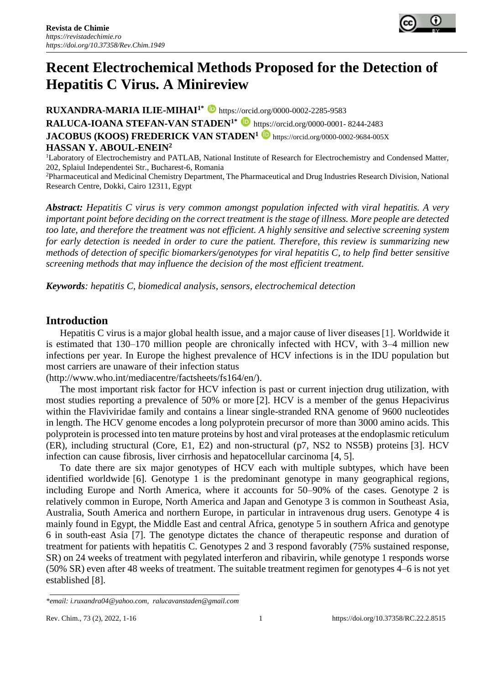

# **Recent Electrochemical Methods Proposed for the Detection of Hepatitis C Virus. A Minireview**

**RUXANDRA-MARIA ILIE-MIHAI<sup>1\*</sup> D** https://orcid.org/0000-0002-2285-9583 **RALUCA-IOANA STEFAN-VAN STADEN<sup>1\*</sup> D** [https://orcid.org/0000-0001-](https://orcid.org/0000-0001-%208244-2483) 8244-2483 **JACOBUS (KOOS) FREDERICK VAN STADEN<sup>1</sup> D** <https://orcid.org/0000-0002-9684-005X> **HASSAN Y. ABOUL-ENEIN<sup>2</sup>**

<sup>1</sup>Laboratory of Electrochemistry and PATLAB, National Institute of Research for Electrochemistry and Condensed Matter, 202, Splaiul Independentei Str., Bucharest-6, Romania

<sup>2</sup>Pharmaceutical and Medicinal Chemistry Department, The Pharmaceutical and Drug Industries Research Division, National Research Centre, Dokki, Cairo 12311, Egypt

*Abstract: Hepatitis C virus is very common amongst population infected with viral hepatitis. A very important point before deciding on the correct treatment is the stage of illness. More people are detected too late, and therefore the treatment was not efficient. A highly sensitive and selective screening system for early detection is needed in order to cure the patient. Therefore, this review is summarizing new methods of detection of specific biomarkers/genotypes for viral hepatitis C, to help find better sensitive screening methods that may influence the decision of the most efficient treatment.*

*Keywords: hepatitis C, biomedical analysis, sensors, electrochemical detection*

# **Introduction**

Hepatitis C virus is a major global health issue, and a major cause of liver diseases[1]. Worldwide it is estimated that 130–170 million people are chronically infected with HCV, with 3–4 million new infections per year. In Europe the highest prevalence of HCV infections is in the IDU population but most carriers are unaware of their infection status

[\(http://www.who.int/mediacentre/factsheets/fs164/en/\)](http://www.who.int/mediacentre/factsheets/fs164/en/).

The most important risk factor for HCV infection is past or current injection drug utilization, with most studies reporting a prevalence of 50% or more [2]. HCV is a member of the genus Hepacivirus within the Flaviviridae family and contains a linear single-stranded RNA genome of 9600 nucleotides in length. The HCV genome encodes a long polyprotein precursor of more than 3000 amino acids. This polyprotein is processed into ten mature proteins by host and viral proteases at the endoplasmic reticulum (ER), including structural (Core, E1, E2) and non-structural (p7, NS2 to NS5B) proteins [3]. HCV infection can cause fibrosis, liver cirrhosis and hepatocellular carcinoma [4, 5].

To date there are six major genotypes of HCV each with multiple subtypes, which have been identified worldwide [6]. Genotype 1 is the predominant genotype in many geographical regions, including Europe and North America, where it accounts for 50–90% of the cases. Genotype 2 is relatively common in Europe, North America and Japan and Genotype 3 is common in Southeast Asia, Australia, South America and northern Europe, in particular in intravenous drug users. Genotype 4 is mainly found in Egypt, the Middle East and central Africa, genotype 5 in southern Africa and genotype 6 in south-east Asia [7]. The genotype dictates the chance of therapeutic response and duration of treatment for patients with hepatitis C. Genotypes 2 and 3 respond favorably (75% sustained response, SR) on 24 weeks of treatment with pegylated interferon and ribavirin, while genotype 1 responds worse (50% SR) even after 48 weeks of treatment. The suitable treatment regimen for genotypes 4–6 is not yet established [8].

*<sup>\*</sup>email[: i.ruxandra04@yahoo.com,](mailto:i.ruxandra04@yahoo.com) [ralucavanstaden@gmail.com](mailto:ralucavanstaden@gmail.com)*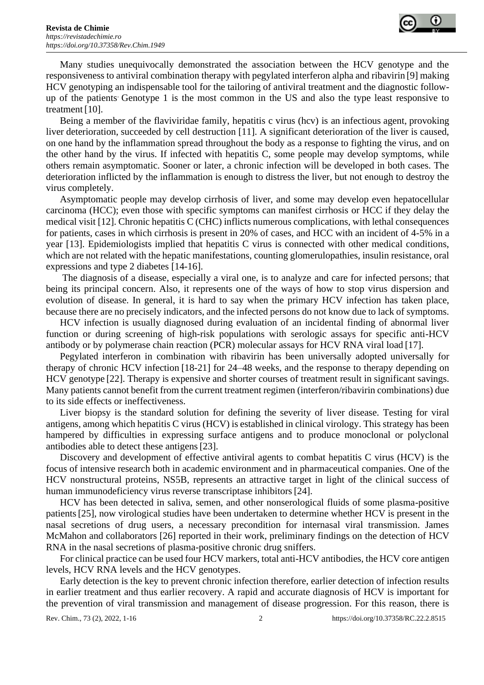

Many studies unequivocally demonstrated the association between the HCV genotype and the responsiveness to antiviral combination therapy with pegylated interferon alpha and ribavirin [9] making HCV genotyping an indispensable tool for the tailoring of antiviral treatment and the diagnostic followup of the patients. Genotype 1 is the most common in the US and also the type least responsive to treatment [10].

Being a member of the flaviviridae family, hepatitis c virus (hcv) is an infectious agent, provoking liver deterioration, succeeded by cell destruction [11]. A significant deterioration of the liver is caused, on one hand by the inflammation spread throughout the body as a response to fighting the virus, and on the other hand by the virus. If infected with hepatitis C, some people may develop symptoms, while others remain asymptomatic. Sooner or later, a chronic infection will be developed in both cases. The deterioration inflicted by the inflammation is enough to distress the liver, but not enough to destroy the virus completely.

Asymptomatic people may develop cirrhosis of liver, and some may develop even hepatocellular carcinoma (HCC); even those with specific symptoms can manifest cirrhosis or HCC if they delay the medical visit [12]. Chronic hepatitis C (CHC) inflicts numerous complications, with lethal consequences for patients, cases in which cirrhosis is present in 20% of cases, and HCC with an incident of 4-5% in a year [13]. Epidemiologists implied that hepatitis C virus is connected with other medical conditions, which are not related with the hepatic manifestations, counting glomerulopathies, insulin resistance, oral expressions and type 2 diabetes [14-16].

The diagnosis of a disease, especially a viral one, is to analyze and care for infected persons; that being its principal concern. Also, it represents one of the ways of how to stop virus dispersion and evolution of disease. In general, it is hard to say when the primary HCV infection has taken place, because there are no precisely indicators, and the infected persons do not know due to lack of symptoms.

HCV infection is usually diagnosed during evaluation of an incidental finding of abnormal liver function or during screening of high-risk populations with serologic assays for specific anti-HCV antibody or by polymerase chain reaction (PCR) molecular assays for HCV RNA viral load [17].

Pegylated interferon in combination with ribavirin has been universally adopted universally for therapy of chronic HCV infection [18-21] for 24–48 weeks, and the response to therapy depending on HCV genotype [22]. Therapy is expensive and shorter courses of treatment result in significant savings. Many patients cannot benefit from the current treatment regimen (interferon/ribavirin combinations) due to its side effects or ineffectiveness.

Liver biopsy is the standard solution for defining the severity of liver disease. Testing for viral antigens, among which hepatitis C virus (HCV) is established in clinical virology. This strategy has been hampered by difficulties in expressing surface antigens and to produce monoclonal or polyclonal antibodies able to detect these antigens[23].

Discovery and development of effective antiviral agents to combat hepatitis C virus (HCV) is the focus of intensive research both in academic environment and in pharmaceutical companies. One of the HCV nonstructural proteins, NS5B, represents an attractive target in light of the clinical success of human immunodeficiency virus reverse transcriptase inhibitors[24].

HCV has been detected in saliva, semen, and other nonserological fluids of some plasma-positive patients[25], now virological studies have been undertaken to determine whether HCV is present in the nasal secretions of drug users, a necessary precondition for internasal viral transmission. James McMahon and collaborators [26] reported in their work, preliminary findings on the detection of HCV RNA in the nasal secretions of plasma-positive chronic drug sniffers.

For clinical practice can be used four HCV markers, total anti-HCV antibodies, the HCV core antigen levels, HCV RNA levels and the HCV genotypes.

Early detection is the key to prevent chronic infection therefore, earlier detection of infection results in earlier treatment and thus earlier recovery. A rapid and accurate diagnosis of HCV is important for the prevention of viral transmission and management of disease progression. For this reason, there is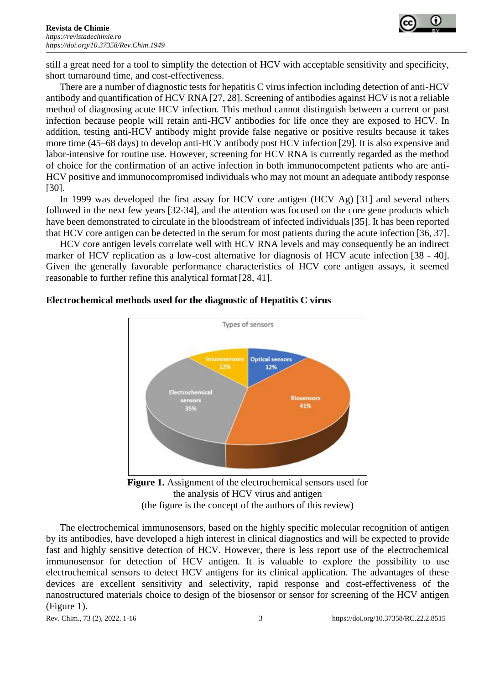

still a great need for a tool to simplify the detection of HCV with acceptable sensitivity and specificity, short turnaround time, and cost-effectiveness.

There are a number of diagnostic tests for hepatitis C virus infection including detection of anti-HCV antibody and quantification of HCV RNA [27, 28]. Screening of antibodies against HCV is not a reliable method of diagnosing acute HCV infection. This method cannot distinguish between a current or past infection because people will retain anti-HCV antibodies for life once they are exposed to HCV. In addition, testing anti-HCV antibody might provide false negative or positive results because it takes more time (45–68 days) to develop anti-HCV antibody post HCV infection [29]. It is also expensive and labor-intensive for routine use. However, screening for HCV RNA is currently regarded as the method of choice for the confirmation of an active infection in both immunocompetent patients who are anti-HCV positive and immunocompromised individuals who may not mount an adequate antibody response [30].

In 1999 was developed the first assay for HCV core antigen (HCV Ag) [31] and several others followed in the next few years [32-34], and the attention was focused on the core gene products which have been demonstrated to circulate in the bloodstream of infected individuals[35]. It has been reported that HCV core antigen can be detected in the serum for most patients during the acute infection [36, 37].

HCV core antigen levels correlate well with HCV RNA levels and may consequently be an indirect marker of HCV replication as a low-cost alternative for diagnosis of HCV acute infection [38 - 40]. Given the generally favorable performance characteristics of HCV core antigen assays, it seemed reasonable to further refine this analytical format [28, 41].



## **Electrochemical methods used for the diagnostic of Hepatitis C virus**



The electrochemical immunosensors, based on the highly specific molecular recognition of antigen by its antibodies, have developed a high interest in clinical diagnostics and will be expected to provide fast and highly sensitive detection of HCV. However, there is less report use of the electrochemical immunosensor for detection of HCV antigen. It is valuable to explore the possibility to use electrochemical sensors to detect HCV antigens for its clinical application. The advantages of these devices are excellent sensitivity and selectivity, rapid response and cost-effectiveness of the nanostructured materials choice to design of the biosensor or sensor for screening of the HCV antigen (Figure 1).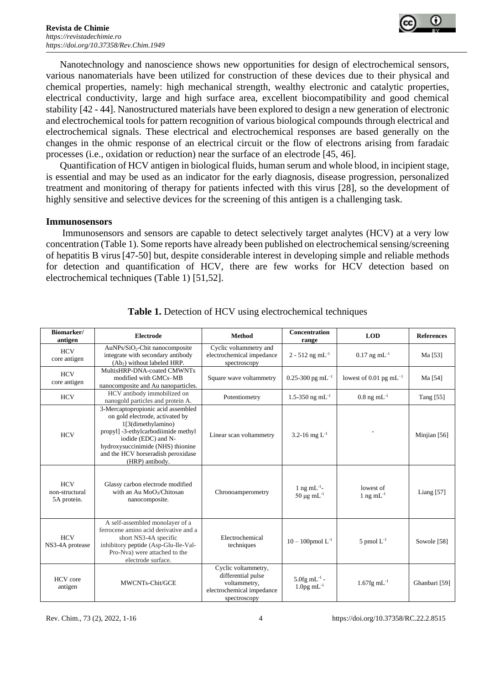

Nanotechnology and nanoscience shows new opportunities for design of electrochemical sensors, various nanomaterials have been utilized for construction of these devices due to their physical and chemical properties, namely: high mechanical strength, wealthy electronic and catalytic properties, electrical conductivity, large and high surface area, excellent biocompatibility and good chemical stability [42 - 44]. Nanostructured materials have been explored to design a new generation of electronic and electrochemical tools for pattern recognition of various biological compounds through electrical and electrochemical signals. These electrical and electrochemical responses are based generally on the changes in the ohmic response of an electrical circuit or the flow of electrons arising from faradaic processes (i.e., oxidation or reduction) near the surface of an electrode [45, 46].

Quantification of HCV antigen in biological fluids, human serum and whole blood, in incipient stage, is essential and may be used as an indicator for the early diagnosis, disease progression, personalized treatment and monitoring of therapy for patients infected with this virus [28], so the development of highly sensitive and selective devices for the screening of this antigen is a challenging task.

#### **Immunosensors**

Immunosensors and sensors are capable to detect selectively target analytes (HCV) at a very low concentration (Table 1). Some reports have already been published on electrochemical sensing/screening of hepatitis B virus[47-50] but, despite considerable interest in developing simple and reliable methods for detection and quantification of HCV, there are few works for HCV detection based on electrochemical techniques (Table 1) [51,52].

| Biomarker/<br>antigen                       | <b>Electrode</b>                                                                                                                                                                                                                                        | Method                                                                                                 | Concentration<br>range                             | <b>LOD</b>                   | <b>References</b> |
|---------------------------------------------|---------------------------------------------------------------------------------------------------------------------------------------------------------------------------------------------------------------------------------------------------------|--------------------------------------------------------------------------------------------------------|----------------------------------------------------|------------------------------|-------------------|
| <b>HCV</b><br>core antigen                  | AuNPs/SiO <sub>2</sub> -Chit nanocomposite<br>integrate with secondary antibody<br>(Ab <sub>2</sub> ) without labeled HRP.                                                                                                                              | Cyclic voltammetry and<br>electrochemical impedance<br>spectroscopy                                    | $2 - 512$ ng mL <sup>-1</sup>                      | $0.17$ ng mL <sup>-1</sup>   | Ma [53]           |
| <b>HCV</b><br>core antigen                  | MultisHRP-DNA-coated CMWNTs<br>modified with GMCs-MB<br>nanocomposite and Au nanoparticles.                                                                                                                                                             | Square wave voltammetry                                                                                | $0.25 - 300$ pg mL <sup>-1</sup>                   | lowest of 0.01 pg mL $^{-1}$ | Ma [54]           |
| <b>HCV</b>                                  | HCV antibody immobilized on<br>nanogold particles and protein A.                                                                                                                                                                                        | Potentiometry                                                                                          | 1.5-350 ng mL <sup>-1</sup>                        | $0.8$ ng mL <sup>-1</sup>    | Tang [55]         |
| <b>HCV</b>                                  | 3-Mercaptopropionic acid assembled<br>on gold electrode, activated by<br>1[3(dimethylamino)<br>propyl] -3-ethylcarbodiimide methyl<br>iodide (EDC) and N-<br>hydroxysuccinimide (NHS) thionine<br>and the HCV horseradish peroxidase<br>(HRP) antibody. | Linear scan voltammetry                                                                                | 3.2-16 mg $L^{-1}$                                 |                              | Minjian [56]      |
| <b>HCV</b><br>non-structural<br>5A protein. | Glassy carbon electrode modified<br>with an Au MoO <sub>3</sub> /Chitosan<br>nanocomposite.                                                                                                                                                             | Chronoamperometry                                                                                      | 1 ng m $L^{-1}$ -<br>50 μg m $L^{-1}$              | lowest of<br>1 ng m $L^{-1}$ | Liang $[57]$      |
| <b>HCV</b><br>NS3-4A protease               | A self-assembled monolayer of a<br>ferrocene amino acid derivative and a<br>short NS3-4A specific<br>inhibitory peptide (Asp-Glu-Ile-Val-<br>Pro-Nva) were attached to the<br>electrode surface.                                                        | Electrochemical<br>techniques                                                                          | $10 - 100$ pmol $L^{-1}$                           | 5 pmol $L^{-1}$              | Sowole [58]       |
| <b>HCV</b> core<br>antigen                  | MWCNTs-Chit/GCE                                                                                                                                                                                                                                         | Cyclic voltammetry,<br>differential pulse<br>voltammetry,<br>electrochemical impedance<br>spectroscopy | $5.0$ fg mL <sup>-1</sup> -<br>$1.0$ pg mL $^{-1}$ | $1.67$ fg mL <sup>-1</sup>   | Ghanbari [59]     |

**Table 1.** Detection of HCV using electrochemical techniques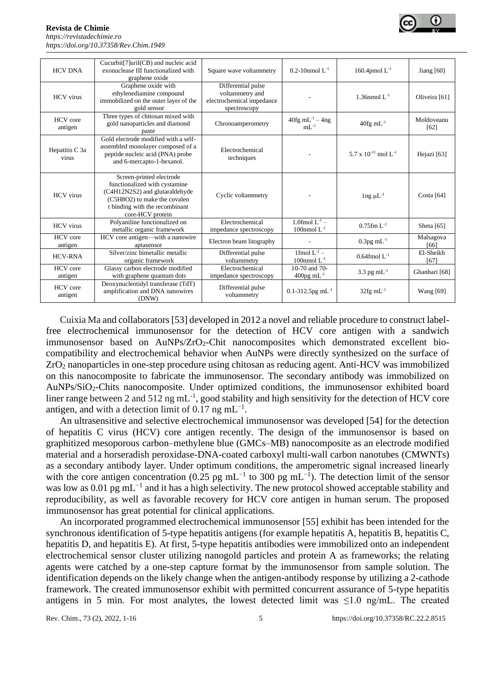**Revista de Chimie**  *[https://revistadechimie.ro](https://revistadechimie.ro/) [https://doi.org/10.37358/Rev.C](https://doi.org/10.37358/Rev)him.1949*



| <b>HCV DNA</b>             | Cucurbit <sup>[7]</sup> uril(CB) and nucleic acid<br>exonuclease III functionalized with<br>graphene oxide                                                                        | Square wave voltammetry                                                            | 0.2-10nmol $L^{-1}$                          | 160.4pmol $L^{-1}$            | Jiang $[60]$       |
|----------------------------|-----------------------------------------------------------------------------------------------------------------------------------------------------------------------------------|------------------------------------------------------------------------------------|----------------------------------------------|-------------------------------|--------------------|
| <b>HCV</b> virus           | Graphene oxide with<br>ethylenediamine compound<br>immobilized on the outer layer of the<br>gold sensor                                                                           | Differential pulse<br>voltammetry and<br>electrochemical impedance<br>spectroscopy |                                              | 1.36nmol $L^{-1}$             | Oliveira [61]      |
| HCV core<br>antigen        | Three types of chitosan mixed with<br>gold nanoparticles and diamond<br>paste                                                                                                     | Chronoamperometry                                                                  | $40fg$ mL <sup>-1</sup> - $4ng$<br>$mL^{-1}$ | $40$ fg m $L^{-1}$            | Moldoveanu<br>[62] |
| Hepatitis C 3a<br>virus    | Gold electrode modified with a self-<br>assembled monolayer composed of a<br>peptide nucleic acid (PNA) probe<br>and 6-mercapto-1-hexanol.                                        | Electrochemical<br>techniques                                                      |                                              | 5.7 x $10^{-11}$ mol $L^{-1}$ | Hejazi [63]        |
| <b>HCV</b> virus           | Screen-printed electrode<br>functionalized with cystamine<br>(C4H12N2S2) and glutaraldehyde<br>(C5H8O2) to make the covalen<br>t binding with the recombinant<br>core-HCV protein | Cyclic voltammetry                                                                 |                                              | $\ln g \mu L^{-1}$            | Costa $[64]$       |
| <b>HCV</b> virus           | Polyaniline functionalized on<br>metallic organic framework                                                                                                                       | Electrochemical<br>impedance spectroscopy                                          | 1.0fmol $L^{-1}$ –<br>100nmol $L^{-1}$       | $0.75$ fm L <sup>-1</sup>     | Sheta $[65]$       |
| <b>HCV</b> core<br>antigen | HCV core antigen—with a nanowire<br>aptasensor                                                                                                                                    | Electron beam litography                                                           |                                              | $0.3$ pg mL <sup>-1</sup>     | Malsagova<br>[66]  |
| <b>HCV-RNA</b>             | Silver/zinc bimetallic metallic<br>organic framework                                                                                                                              | Differential pulse<br>voltammetry                                                  | 1fmol $L^{-1}$ –<br>100nmol $L^{-1}$         | $0.64$ fmol L <sup>-1</sup>   | El-Sheikh<br>[67]  |
| <b>HCV</b> core<br>antigen | Glassy carbon electrode modified<br>with graphene quantum dots                                                                                                                    | Electrochemical<br>impedance spectroscopy                                          | 10-70 and 70-<br>$400$ pg mL <sup>-1</sup>   | 3.3 pg $mL^{-1}$              | Ghanbari [68]      |
| <b>HCV</b> core<br>antigen | Deoxynucleotidyl transferase (TdT)<br>amplification and DNA nanowires<br>(DNW)                                                                                                    | Differential pulse<br>voltammetry                                                  | $0.1 - 312.5$ pg mL <sup>-1</sup>            | $32$ fg mL <sup>-1</sup>      | Wang [69]          |

Cuixia Ma and collaborators [53] developed in 2012 a novel and reliable procedure to construct labelfree electrochemical immunosensor for the detection of HCV core antigen with a sandwich immunosensor based on AuNPs/ZrO<sub>2</sub>-Chit nanocomposites which demonstrated excellent biocompatibility and electrochemical behavior when AuNPs were directly synthesized on the surface of ZrO<sup>2</sup> nanoparticles in one-step procedure using chitosan as reducing agent. Anti-HCV was immobilized on this nanocomposite to fabricate the immunosensor. The secondary antibody was immobilized on AuNPs/SiO2-Chits nanocomposite. Under optimized conditions, the immunosensor exhibited board liner range between 2 and 512 ng mL<sup>-1</sup>, good stability and high sensitivity for the detection of HCV core antigen, and with a detection limit of 0.17 ng  $mL^{-1}$ .

An ultrasensitive and selective electrochemical immunosensor was developed [54] for the detection of hepatitis C virus (HCV) core antigen recently. The design of the immunosensor is based on graphitized mesoporous carbon–methylene blue (GMCs–MB) nanocomposite as an electrode modified material and a horseradish peroxidase-DNA-coated carboxyl multi-wall carbon nanotubes (CMWNTs) as a secondary antibody layer. Under optimum conditions, the amperometric signal increased linearly with the core antigen concentration (0.25 pg mL<sup>-1</sup> to 300 pg mL<sup>-1</sup>). The detection limit of the sensor was low as 0.01 pg mL<sup>-1</sup> and it has a high selectivity. The new protocol showed acceptable stability and reproducibility, as well as favorable recovery for HCV core antigen in human serum. The proposed immunosensor has great potential for clinical applications.

An incorporated programmed electrochemical immunosensor [55] exhibit has been intended for the synchronous identification of 5-type hepatitis antigens (for example hepatitis A, hepatitis B, hepatitis C, hepatitis D, and hepatitis E). At first, 5-type hepatitis antibodies were immobilized onto an independent electrochemical sensor cluster utilizing nanogold particles and protein A as frameworks; the relating agents were catched by a one-step capture format by the immunosensor from sample solution. The identification depends on the likely change when the antigen-antibody response by utilizing a 2-cathode framework. The created immunosensor exhibit with permitted concurrent assurance of 5-type hepatitis antigens in 5 min. For most analytes, the lowest detected limit was  $\leq 1.0$  ng/mL. The created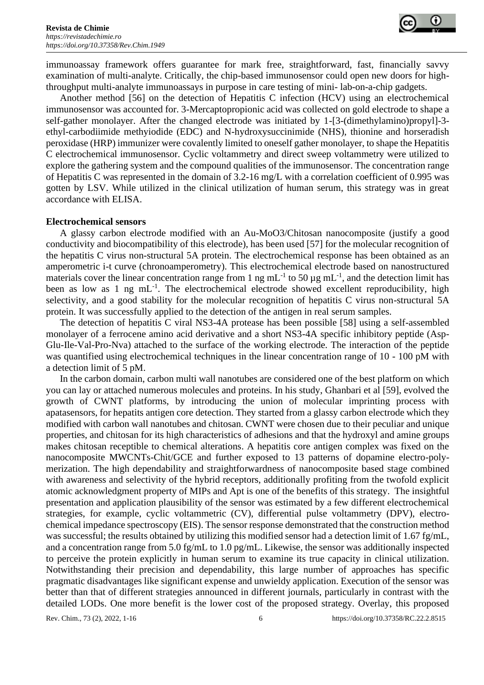

immunoassay framework offers guarantee for mark free, straightforward, fast, financially savvy examination of multi-analyte. Critically, the chip-based immunosensor could open new doors for highthroughput multi-analyte immunoassays in purpose in care testing of mini- lab-on-a-chip gadgets.

Another method [56] on the detection of Hepatitis C infection (HCV) using an electrochemical immunosensor was accounted for. 3-Mercaptopropionic acid was collected on gold electrode to shape a self-gather monolayer. After the changed electrode was initiated by 1-[3-(dimethylamino)propyl]-3 ethyl-carbodiimide methyiodide (EDC) and N-hydroxysuccinimide (NHS), thionine and horseradish peroxidase (HRP) immunizer were covalently limited to oneself gather monolayer, to shape the Hepatitis C electrochemical immunosensor. Cyclic voltammetry and direct sweep voltammetry were utilized to explore the gathering system and the compound qualities of the immunosensor. The concentration range of Hepatitis C was represented in the domain of 3.2-16 mg/L with a correlation coefficient of 0.995 was gotten by LSV. While utilized in the clinical utilization of human serum, this strategy was in great accordance with ELISA.

#### **Electrochemical sensors**

A glassy carbon electrode modified with an Au-MoO3/Chitosan nanocomposite (justify a good conductivity and biocompatibility of this electrode), has been used [57] for the molecular recognition of the hepatitis C virus non-structural 5A protein. The electrochemical response has been obtained as an amperometric i-t curve (chronoamperometry). This electrochemical electrode based on nanostructured materials cover the linear concentration range from 1 ng mL<sup>-1</sup> to 50  $\mu$ g mL<sup>-1</sup>, and the detection limit has been as low as 1 ng  $mL^{-1}$ . The electrochemical electrode showed excellent reproducibility, high selectivity, and a good stability for the molecular recognition of hepatitis C virus non-structural 5A protein. It was successfully applied to the detection of the antigen in real serum samples.

The detection of hepatitis C viral NS3-4A protease has been possible [58] using a self-assembled monolayer of a ferrocene amino acid derivative and a short NS3-4A specific inhibitory peptide (Asp-Glu-Ile-Val-Pro-Nva) attached to the surface of the working electrode. The interaction of the peptide was quantified using electrochemical techniques in the linear concentration range of 10 - 100 pM with a detection limit of 5 pM.

In the carbon domain, carbon multi wall nanotubes are considered one of the best platform on which you can lay or attached numerous molecules and proteins. In his study, Ghanbari et al [59], evolved the growth of CWNT platforms, by introducing the union of molecular imprinting process with apatasensors, for hepatits antigen core detection. They started from a glassy carbon electrode which they modified with carbon wall nanotubes and chitosan. CWNT were chosen due to their peculiar and unique properties, and chitosan for its high characteristics of adhesions and that the hydroxyl and amine groups makes chitosan receptible to chemical alterations. A hepatitis core antigen complex was fixed on the nanocomposite MWCNTs-Chit/GCE and further exposed to 13 patterns of dopamine electro-polymerization. The high dependability and straightforwardness of nanocomposite based stage combined with awareness and selectivity of the hybrid receptors, additionally profiting from the twofold explicit atomic acknowledgment property of MIPs and Apt is one of the benefits of this strategy. The insightful presentation and application plausibility of the sensor was estimated by a few different electrochemical strategies, for example, cyclic voltammetric (CV), differential pulse voltammetry (DPV), electrochemical impedance spectroscopy (EIS). The sensor response demonstrated that the construction method was successful; the results obtained by utilizing this modified sensor had a detection limit of 1.67 fg/mL, and a concentration range from 5.0 fg/mL to 1.0 pg/mL. Likewise, the sensor was additionally inspected to perceive the protein explicitly in human serum to examine its true capacity in clinical utilization. Notwithstanding their precision and dependability, this large number of approaches has specific pragmatic disadvantages like significant expense and unwieldy application. Execution of the sensor was better than that of different strategies announced in different journals, particularly in contrast with the detailed LODs. One more benefit is the lower cost of the proposed strategy. Overlay, this proposed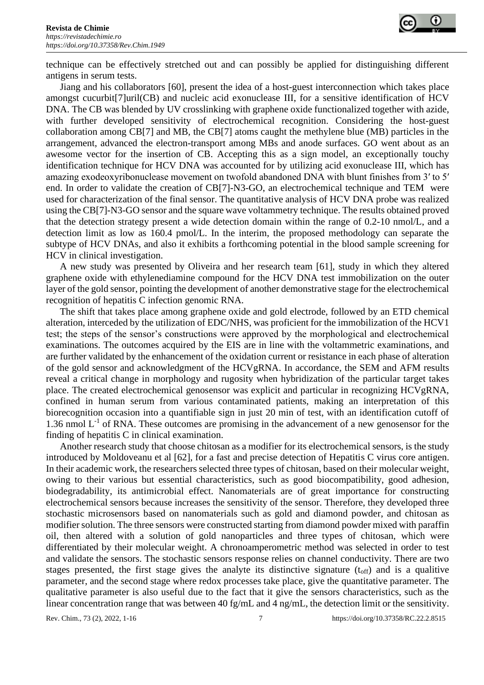

technique can be effectively stretched out and can possibly be applied for distinguishing different antigens in serum tests.

Jiang and his collaborators [60], present the idea of a host-guest interconnection which takes place amongst cucurbit[7]uril(CB) and nucleic acid exonuclease III, for a sensitive identification of HCV DNA. The CB was blended by UV crosslinking with graphene oxide functionalized together with azide, with further developed sensitivity of electrochemical recognition. Considering the host-guest collaboration among CB[7] and MB, the CB[7] atoms caught the methylene blue (MB) particles in the arrangement, advanced the electron-transport among MBs and anode surfaces. GO went about as an awesome vector for the insertion of CB. Accepting this as a sign model, an exceptionally touchy identification technique for HCV DNA was accounted for by utilizing acid exonuclease III, which has amazing exodeoxyribonuclease movement on twofold abandoned DNA with blunt finishes from 3′ to 5′ end. In order to validate the creation of CB[7]-N3-GO, an electrochemical technique and TEM were used for characterization of the final sensor. The quantitative analysis of HCV DNA probe was realized using the CB[7]-N3-GO sensor and the square wave voltammetry technique. The results obtained proved that the detection strategy present a wide detection domain within the range of 0.2-10 nmol/L, and a detection limit as low as 160.4 pmol/L. In the interim, the proposed methodology can separate the subtype of HCV DNAs, and also it exhibits a forthcoming potential in the blood sample screening for HCV in clinical investigation.

A new study was presented by Oliveira and her research team [61], study in which they altered graphene oxide with ethylenediamine compound for the HCV DNA test immobilization on the outer layer of the gold sensor, pointing the development of another demonstrative stage for the electrochemical recognition of hepatitis C infection genomic RNA.

The shift that takes place among graphene oxide and gold electrode, followed by an ETD chemical alteration, interceded by the utilization of EDC/NHS, was proficient for the immobilization of the HCV1 test; the steps of the sensor's constructions were approved by the morphological and electrochemical examinations. The outcomes acquired by the EIS are in line with the voltammetric examinations, and are further validated by the enhancement of the oxidation current or resistance in each phase of alteration of the gold sensor and acknowledgment of the HCVgRNA. In accordance, the SEM and AFM results reveal a critical change in morphology and rugosity when hybridization of the particular target takes place. The created electrochemical genosensor was explicit and particular in recognizing HCVgRNA, confined in human serum from various contaminated patients, making an interpretation of this biorecognition occasion into a quantifiable sign in just 20 min of test, with an identification cutoff of 1.36 nmol  $L^{-1}$  of RNA. These outcomes are promising in the advancement of a new genosensor for the finding of hepatitis C in clinical examination.

Another research study that choose chitosan as a modifier for its electrochemical sensors, is the study introduced by Moldoveanu et al [62], for a fast and precise detection of Hepatitis C virus core antigen. In their academic work, the researchers selected three types of chitosan, based on their molecular weight, owing to their various but essential characteristics, such as good biocompatibility, good adhesion, biodegradability, its antimicrobial effect. Nanomaterials are of great importance for constructing electrochemical sensors because increases the sensitivity of the sensor. Therefore, they developed three stochastic microsensors based on nanomaterials such as gold and diamond powder, and chitosan as modifier solution. The three sensors were constructed starting from diamond powder mixed with paraffin oil, then altered with a solution of gold nanoparticles and three types of chitosan, which were differentiated by their molecular weight. A chronoamperometric method was selected in order to test and validate the sensors. The stochastic sensors response relies on channel conductivity. There are two stages presented, the first stage gives the analyte its distinctive signature  $(t_{off})$  and is a qualitive parameter, and the second stage where redox processes take place, give the quantitative parameter. The qualitative parameter is also useful due to the fact that it give the sensors characteristics, such as the linear concentration range that was between 40 fg/mL and 4 ng/mL, the detection limit or the sensitivity.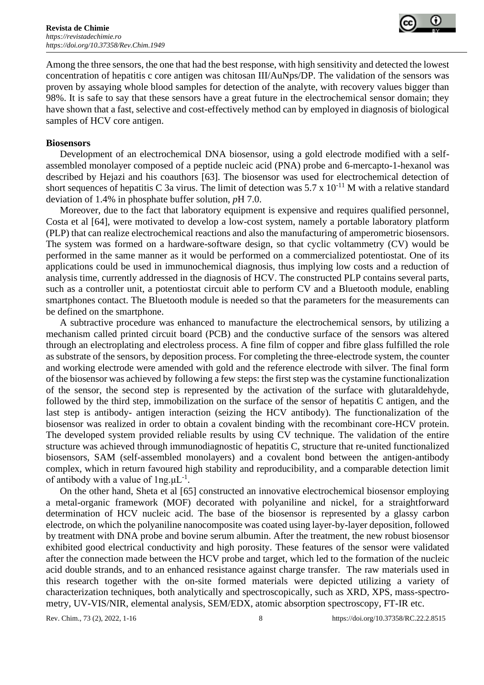

Among the three sensors, the one that had the best response, with high sensitivity and detected the lowest concentration of hepatitis c core antigen was chitosan III/AuNps/DP. The validation of the sensors was proven by assaying whole blood samples for detection of the analyte, with recovery values bigger than 98%. It is safe to say that these sensors have a great future in the electrochemical sensor domain; they have shown that a fast, selective and cost-effectively method can by employed in diagnosis of biological samples of HCV core antigen.

#### **Biosensors**

Development of an electrochemical DNA biosensor, using a gold electrode modified with a selfassembled monolayer composed of a peptide nucleic acid (PNA) probe and 6-mercapto-1-hexanol was described by Hejazi and his coauthors [63]. The biosensor was used for electrochemical detection of short sequences of hepatitis C 3a virus. The limit of detection was  $5.7 \times 10^{-11}$  M with a relative standard deviation of 1.4% in phosphate buffer solution, *p*H 7.0.

Moreover, due to the fact that laboratory equipment is expensive and requires qualified personnel, Costa et al [64], were motivated to develop a low-cost system, namely a portable laboratory platform (PLP) that can realize electrochemical reactions and also the manufacturing of amperometric biosensors. The system was formed on a hardware-software design, so that cyclic voltammetry (CV) would be performed in the same manner as it would be performed on a commercialized potentiostat. One of its applications could be used in immunochemical diagnosis, thus implying low costs and a reduction of analysis time, currently addressed in the diagnosis of HCV. The constructed PLP contains several parts, such as a controller unit, a potentiostat circuit able to perform CV and a Bluetooth module, enabling smartphones contact. The Bluetooth module is needed so that the parameters for the measurements can be defined on the smartphone.

A subtractive procedure was enhanced to manufacture the electrochemical sensors, by utilizing a mechanism called printed circuit board (PCB) and the conductive surface of the sensors was altered through an electroplating and electroless process. A fine film of copper and fibre glass fulfilled the role as substrate of the sensors, by deposition process. For completing the three-electrode system, the counter and working electrode were amended with gold and the reference electrode with silver. The final form of the biosensor was achieved by following a few steps: the first step was the cystamine functionalization of the sensor, the second step is represented by the activation of the surface with glutaraldehyde, followed by the third step, immobilization on the surface of the sensor of hepatitis C antigen, and the last step is antibody- antigen interaction (seizing the HCV antibody). The functionalization of the biosensor was realized in order to obtain a covalent binding with the recombinant core-HCV protein. The developed system provided reliable results by using CV technique. The validation of the entire structure was achieved through immunodiagnostic of hepatitis C, structure that re-united functionalized biosensors, SAM (self-assembled monolayers) and a covalent bond between the antigen-antibody complex, which in return favoured high stability and reproducibility, and a comparable detection limit of antibody with a value of  $\text{lng.}\mu\text{L}^{-1}$ .

On the other hand, Sheta et al [65] constructed an innovative electrochemical biosensor employing a metal-organic framework (MOF) decorated with polyaniline and nickel, for a straightforward determination of HCV nucleic acid. The base of the biosensor is represented by a glassy carbon electrode, on which the polyaniline nanocomposite was coated using layer-by-layer deposition, followed by treatment with DNA probe and bovine serum albumin. After the treatment, the new robust biosensor exhibited good electrical conductivity and high porosity. These features of the sensor were validated after the connection made between the HCV probe and target, which led to the formation of the nucleic acid double strands, and to an enhanced resistance against charge transfer. The raw materials used in this research together with the on-site formed materials were depicted utilizing a variety of characterization techniques, both analytically and spectroscopically, such as XRD, XPS, mass-spectrometry, UV-VIS/NIR, elemental analysis, SEM/EDX, atomic absorption spectroscopy, FT-IR etc.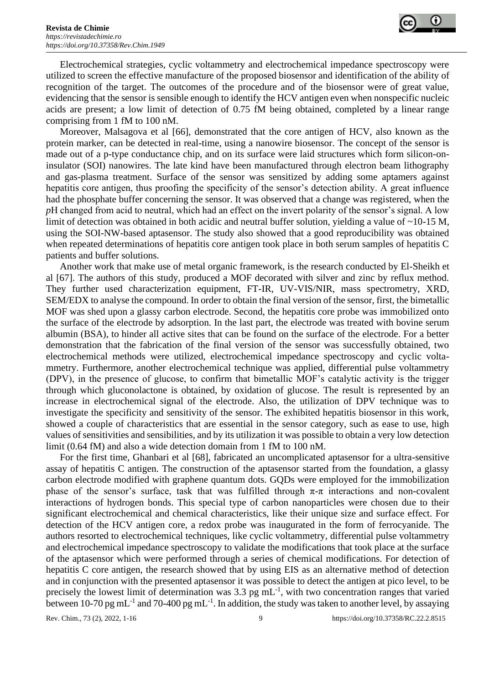

Electrochemical strategies, cyclic voltammetry and electrochemical impedance spectroscopy were utilized to screen the effective manufacture of the proposed biosensor and identification of the ability of recognition of the target. The outcomes of the procedure and of the biosensor were of great value, evidencing that the sensor is sensible enough to identify the HCV antigen even when nonspecific nucleic acids are present; a low limit of detection of 0.75 fM being obtained, completed by a linear range comprising from 1 fM to 100 nM.

Moreover, Malsagova et al [66], demonstrated that the core antigen of HCV, also known as the protein marker, can be detected in real-time, using a nanowire biosensor. The concept of the sensor is made out of a p-type conductance chip, and on its surface were laid structures which form silicon-oninsulator (SOI) nanowires. The late kind have been manufactured through electron beam lithography and gas-plasma treatment. Surface of the sensor was sensitized by adding some aptamers against hepatitis core antigen, thus proofing the specificity of the sensor's detection ability. A great influence had the phosphate buffer concerning the sensor. It was observed that a change was registered, when the *p*H changed from acid to neutral, which had an effect on the invert polarity of the sensor's signal. A low limit of detection was obtained in both acidic and neutral buffer solution, yielding a value of ~10-15 M, using the SOI-NW-based aptasensor. The study also showed that a good reproducibility was obtained when repeated determinations of hepatitis core antigen took place in both serum samples of hepatitis C patients and buffer solutions.

Another work that make use of metal organic framework, is the research conducted by El-Sheikh et al [67]. The authors of this study, produced a MOF decorated with silver and zinc by reflux method. They further used characterization equipment, FT-IR, UV-VIS/NIR, mass spectrometry, XRD, SEM/EDX to analyse the compound. In order to obtain the final version of the sensor, first, the bimetallic MOF was shed upon a glassy carbon electrode. Second, the hepatitis core probe was immobilized onto the surface of the electrode by adsorption. In the last part, the electrode was treated with bovine serum albumin (BSA), to hinder all active sites that can be found on the surface of the electrode. For a better demonstration that the fabrication of the final version of the sensor was successfully obtained, two electrochemical methods were utilized, electrochemical impedance spectroscopy and cyclic voltammetry. Furthermore, another electrochemical technique was applied, differential pulse voltammetry (DPV), in the presence of glucose, to confirm that bimetallic MOF's catalytic activity is the trigger through which gluconolactone is obtained, by oxidation of glucose. The result is represented by an increase in electrochemical signal of the electrode. Also, the utilization of DPV technique was to investigate the specificity and sensitivity of the sensor. The exhibited hepatitis biosensor in this work, showed a couple of characteristics that are essential in the sensor category, such as ease to use, high values of sensitivities and sensibilities, and by its utilization it was possible to obtain a very low detection limit (0.64 fM) and also a wide detection domain from 1 fM to 100 nM.

For the first time, Ghanbari et al [68], fabricated an uncomplicated aptasensor for a ultra-sensitive assay of hepatitis C antigen. The construction of the aptasensor started from the foundation, a glassy carbon electrode modified with graphene quantum dots. GQDs were employed for the immobilization phase of the sensor's surface, task that was fulfilled through  $\pi$ - $\pi$  interactions and non-covalent interactions of hydrogen bonds. This special type of carbon nanoparticles were chosen due to their significant electrochemical and chemical characteristics, like their unique size and surface effect. For detection of the HCV antigen core, a redox probe was inaugurated in the form of ferrocyanide. The authors resorted to electrochemical techniques, like cyclic voltammetry, differential pulse voltammetry and electrochemical impedance spectroscopy to validate the modifications that took place at the surface of the aptasensor which were performed through a series of chemical modifications. For detection of hepatitis C core antigen, the research showed that by using EIS as an alternative method of detection and in conjunction with the presented aptasensor it was possible to detect the antigen at pico level, to be precisely the lowest limit of determination was  $3.3$  pg mL<sup>-1</sup>, with two concentration ranges that varied between 10-70 pg mL<sup>-1</sup> and 70-400 pg mL<sup>-1</sup>. In addition, the study was taken to another level, by assaying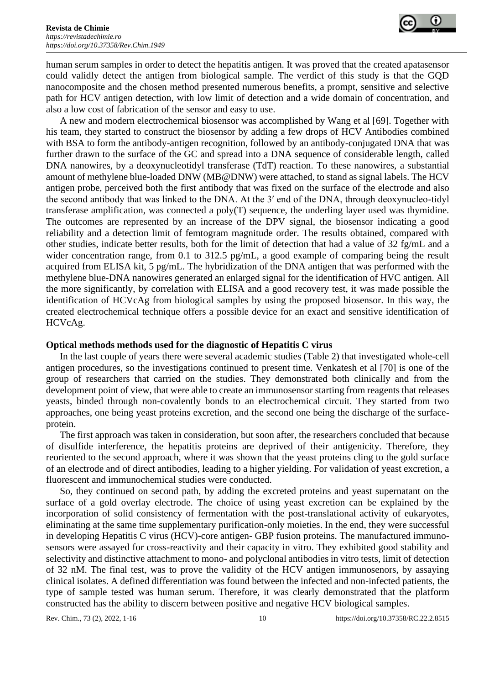

human serum samples in order to detect the hepatitis antigen. It was proved that the created apatasensor could validly detect the antigen from biological sample. The verdict of this study is that the GQD nanocomposite and the chosen method presented numerous benefits, a prompt, sensitive and selective path for HCV antigen detection, with low limit of detection and a wide domain of concentration, and also a low cost of fabrication of the sensor and easy to use.

A new and modern electrochemical biosensor was accomplished by Wang et al [69]. Together with his team, they started to construct the biosensor by adding a few drops of HCV Antibodies combined with BSA to form the antibody-antigen recognition, followed by an antibody-conjugated DNA that was further drawn to the surface of the GC and spread into a DNA sequence of considerable length, called DNA nanowires, by a deoxynucleotidyl transferase (TdT) reaction. To these nanowires, a substantial amount of methylene blue-loaded DNW (MB@DNW) were attached, to stand as signal labels. The HCV antigen probe, perceived both the first antibody that was fixed on the surface of the electrode and also the second antibody that was linked to the DNA. At the 3′ end of the DNA, through deoxynucleo-tidyl transferase amplification, was connected a poly(T) sequence, the underling layer used was thymidine. The outcomes are represented by an increase of the DPV signal, the biosensor indicating a good reliability and a detection limit of femtogram magnitude order. The results obtained, compared with other studies, indicate better results, both for the limit of detection that had a value of 32 fg/mL and a wider concentration range, from 0.1 to 312.5 pg/mL, a good example of comparing being the result acquired from ELISA kit, 5 pg/mL. The hybridization of the DNA antigen that was performed with the methylene blue-DNA nanowires generated an enlarged signal for the identification of HVC antigen. All the more significantly, by correlation with ELISA and a good recovery test, it was made possible the identification of HCVcAg from biological samples by using the proposed biosensor. In this way, the created electrochemical technique offers a possible device for an exact and sensitive identification of HCVcAg.

#### **Optical methods methods used for the diagnostic of Hepatitis C virus**

In the last couple of years there were several academic studies (Table 2) that investigated whole-cell antigen procedures, so the investigations continued to present time. Venkatesh et al [70] is one of the group of researchers that carried on the studies. They demonstrated both clinically and from the development point of view, that were able to create an immunosensor starting from reagents that releases yeasts, binded through non-covalently bonds to an electrochemical circuit. They started from two approaches, one being yeast proteins excretion, and the second one being the discharge of the surfaceprotein.

The first approach was taken in consideration, but soon after, the researchers concluded that because of disulfide interference, the hepatitis proteins are deprived of their antigenicity. Therefore, they reoriented to the second approach, where it was shown that the yeast proteins cling to the gold surface of an electrode and of direct antibodies, leading to a higher yielding. For validation of yeast excretion, a fluorescent and immunochemical studies were conducted.

So, they continued on second path, by adding the excreted proteins and yeast supernatant on the surface of a gold overlay electrode. The choice of using yeast excretion can be explained by the incorporation of solid consistency of fermentation with the post-translational activity of eukaryotes, eliminating at the same time supplementary purification-only moieties. In the end, they were successful in developing Hepatitis C virus (HCV)-core antigen- GBP fusion proteins. The manufactured immunosensors were assayed for cross-reactivity and their capacity in vitro. They exhibited good stability and selectivity and distinctive attachment to mono- and polyclonal antibodies in vitro tests, limit of detection of 32 nM. The final test, was to prove the validity of the HCV antigen immunosenors, by assaying clinical isolates. A defined differentiation was found between the infected and non-infected patients, the type of sample tested was human serum. Therefore, it was clearly demonstrated that the platform constructed has the ability to discern between positive and negative HCV biological samples.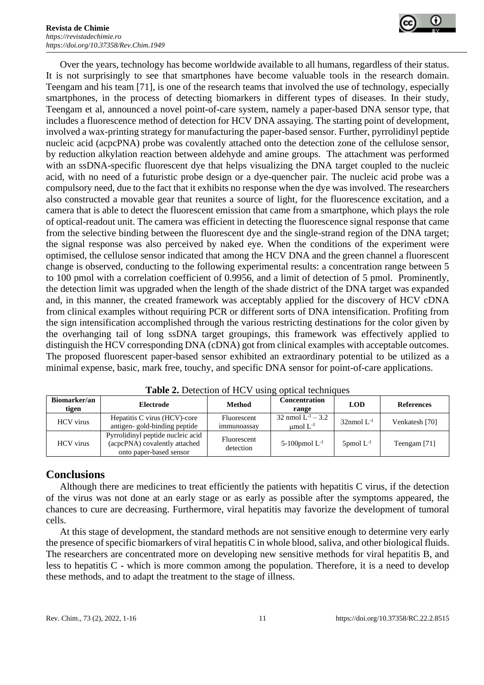

Over the years, technology has become worldwide available to all humans, regardless of their status. It is not surprisingly to see that smartphones have become valuable tools in the research domain. Teengam and his team [71], is one of the research teams that involved the use of technology, especially smartphones, in the process of detecting biomarkers in different types of diseases. In their study, Teengam et al, announced a novel point-of-care system, namely a paper-based DNA sensor type, that includes a fluorescence method of detection for HCV DNA assaying. The starting point of development, involved a wax-printing strategy for manufacturing the paper-based sensor. Further, pyrrolidinyl peptide nucleic acid (acpcPNA) probe was covalently attached onto the detection zone of the cellulose sensor, by reduction alkylation reaction between aldehyde and amine groups. The attachment was performed with an ssDNA-specific fluorescent dye that helps visualizing the DNA target coupled to the nucleic acid, with no need of a futuristic probe design or a dye-quencher pair. The nucleic acid probe was a compulsory need, due to the fact that it exhibits no response when the dye was involved. The researchers also constructed a movable gear that reunites a source of light, for the fluorescence excitation, and a camera that is able to detect the fluorescent emission that came from a smartphone, which plays the role of optical-readout unit. The camera was efficient in detecting the fluorescence signal response that came from the selective binding between the fluorescent dye and the single-strand region of the DNA target; the signal response was also perceived by naked eye. When the conditions of the experiment were optimised, the cellulose sensor indicated that among the HCV DNA and the green channel a fluorescent change is observed, conducting to the following experimental results: a concentration range between 5 to 100 pmol with a correlation coefficient of 0.9956, and a limit of detection of 5 pmol. Prominently, the detection limit was upgraded when the length of the shade district of the DNA target was expanded and, in this manner, the created framework was acceptably applied for the discovery of HCV cDNA from clinical examples without requiring PCR or different sorts of DNA intensification. Profiting from the sign intensification accomplished through the various restricting destinations for the color given by the overhanging tail of long ssDNA target groupings, this framework was effectively applied to distinguish the HCV corresponding DNA (cDNA) got from clinical examples with acceptable outcomes. The proposed fluorescent paper-based sensor exhibited an extraordinary potential to be utilized as a minimal expense, basic, mark free, touchy, and specific DNA sensor for point-of-care applications.

| Biomarker/an<br>tigen | Electrode                                                                                     | <b>Method</b>              | <b>Concentration</b><br>range           | <b>LOD</b>                | References     |
|-----------------------|-----------------------------------------------------------------------------------------------|----------------------------|-----------------------------------------|---------------------------|----------------|
| <b>HCV</b> virus      | Hepatitis C virus (HCV)-core<br>antigen-gold-binding peptide                                  | Fluorescent<br>immunoassay | 32 nmol $L^{-1}$ – 3.2<br>umol $L^{-1}$ | $32$ nmol L <sup>-1</sup> | Venkatesh [70] |
| <b>HCV</b> virus      | Pyrrolidinyl peptide nucleic acid<br>(acpcPNA) covalently attached<br>onto paper-based sensor | Fluorescent<br>detection   | 5-100pmol $L^{-1}$                      | $5$ pmol $L^{-1}$         | Teengam [71]   |

Table 2. Detection of HCV using optical techniques

# **Conclusions**

Although there are medicines to treat efficiently the patients with hepatitis C virus, if the detection of the virus was not done at an early stage or as early as possible after the symptoms appeared, the chances to cure are decreasing. Furthermore, viral hepatitis may favorize the development of tumoral cells.

At this stage of development, the standard methods are not sensitive enough to determine very early the presence of specific biomarkers of viral hepatitis C in whole blood, saliva, and other biological fluids. The researchers are concentrated more on developing new sensitive methods for viral hepatitis B, and less to hepatitis C - which is more common among the population. Therefore, it is a need to develop these methods, and to adapt the treatment to the stage of illness.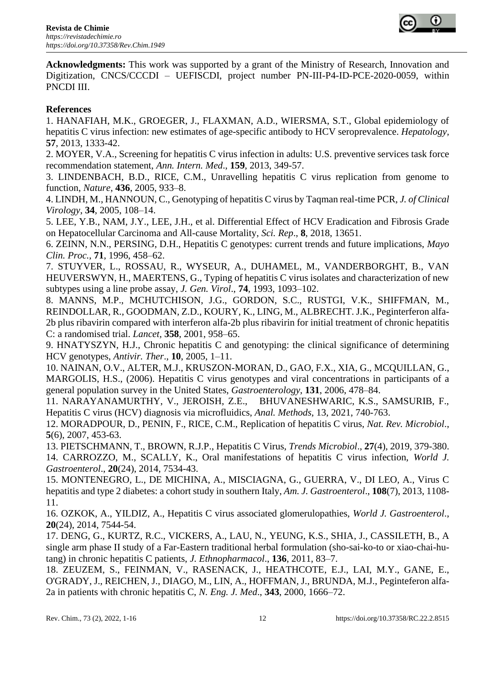

**Acknowledgments:** This work was supported by a grant of the Ministry of Research, Innovation and Digitization, CNCS/CCCDI – UEFISCDI, project number PN-III-P4-ID-PCE-2020-0059, within PNCDI III.

## **References**

1. HANAFIAH, M.K., GROEGER, J., FLAXMAN, A.D., WIERSMA, S.T., Global epidemiology of hepatitis C virus infection: new estimates of age-specific antibody to HCV seroprevalence. *Hepatology,* **57**, 2013, 1333-42.

2. MOYER, V.A., Screening for hepatitis C virus infection in adults: U.S. preventive services task force recommendation statement, *Ann. Intern. Med*., **159**, 2013, 349-57.

3. LINDENBACH, B.D., RICE, C.M., Unravelling hepatitis C virus replication from genome to function, *Nature*, **436**, 2005, 933–8.

4. LINDH, M., HANNOUN, C., Genotyping of hepatitis C virus by Taqman real-time PCR, *J. of Clinical Virology*, **34**, 2005, 108–14.

5. LEE, Y.B., NAM, J.Y., LEE, J.H., et al. Differential Effect of HCV Eradication and Fibrosis Grade on Hepatocellular Carcinoma and All-cause Mortality, *Sci. Rep*., **8**, 2018, 13651.

6. ZEINN, N.N., PERSING, D.H., Hepatitis C genotypes: current trends and future implications, *Mayo Clin. Proc.*, **71**, 1996, 458–62.

7. STUYVER, L., ROSSAU, R., WYSEUR, A., DUHAMEL, M., VANDERBORGHT, B., VAN HEUVERSWYN, H., MAERTENS, G., Typing of hepatitis C virus isolates and characterization of new subtypes using a line probe assay, *J. Gen. Virol*., **74**, 1993, 1093–102.

8. MANNS, M.P., MCHUTCHISON, J.G., GORDON, S.C., RUSTGI, V.K., SHIFFMAN, M., REINDOLLAR, R., GOODMAN, Z.D., KOURY, K., LING, M., ALBRECHT. J.K., Peginterferon alfa-2b plus ribavirin compared with interferon alfa-2b plus ribavirin for initial treatment of chronic hepatitis C: a randomised trial. *Lancet,* **358**, 2001, 958–65.

9. HNATYSZYN, H.J., Chronic hepatitis C and genotyping: the clinical significance of determining HCV genotypes, *Antivir. Ther*., **10**, 2005, 1–11.

10. NAINAN, O.V., ALTER, M.J., KRUSZON-MORAN, D., GAO, F.X., XIA, G., MCQUILLAN, G., MARGOLIS, H.S., (2006). Hepatitis C virus genotypes and viral concentrations in participants of a general population survey in the United States, *Gastroenterology*, **131**, 2006, 478–84.

11. NARAYANAMURTHY, V., JEROISH, Z.E., BHUVANESHWARIC, K.S., SAMSURIB, F., Hepatitis C virus (HCV) diagnosis via microfluidics, *Anal. Methods*, 13, 2021, 740-763.

12. MORADPOUR, D., PENIN, F., RICE, C.M., Replication of hepatitis C virus, *Nat. Rev. Microbiol*., **5**(6), 2007, 453-63.

13. PIETSCHMANN, T., BROWN, R.J.P., Hepatitis C Virus, *Trends Microbiol*., **27**(4), 2019, 379-380. 14. CARROZZO, M., SCALLY, K., Oral manifestations of hepatitis C virus infection, *World J. Gastroenterol*., **20**(24), 2014, 7534-43.

15. MONTENEGRO, L., DE MICHINA, A., MISCIAGNA, G., GUERRA, V., DI LEO, A., Virus C hepatitis and type 2 diabetes: a cohort study in southern Italy, *Am. J. Gastroenterol*., **108**(7), 2013, 1108- 11.

16. OZKOK, A., YILDIZ, A., Hepatitis C virus associated glomerulopathies, *World J. Gastroenterol*., **20**(24), 2014, 7544-54.

17. DENG, G., KURTZ, R.C., VICKERS, A., LAU, N., YEUNG, K.S., SHIA, J., CASSILETH, B., A single arm phase II study of a Far-Eastern traditional herbal formulation (sho-sai-ko-to or xiao-chai-hutang) in chronic hepatitis C patients, *J. Ethnopharmacol*., **136**, 2011, 83–7.

18. ZEUZEM, S., FEINMAN, V., RASENACK, J., HEATHCOTE, E.J., LAI, M.Y., GANE, E., O'GRADY, J., REICHEN, J., DIAGO, M., LIN, A., HOFFMAN, J., BRUNDA, M.J., Peginteferon alfa-2a in patients with chronic hepatitis C, *N. Eng. J. Med*., **343**, 2000, 1666–72.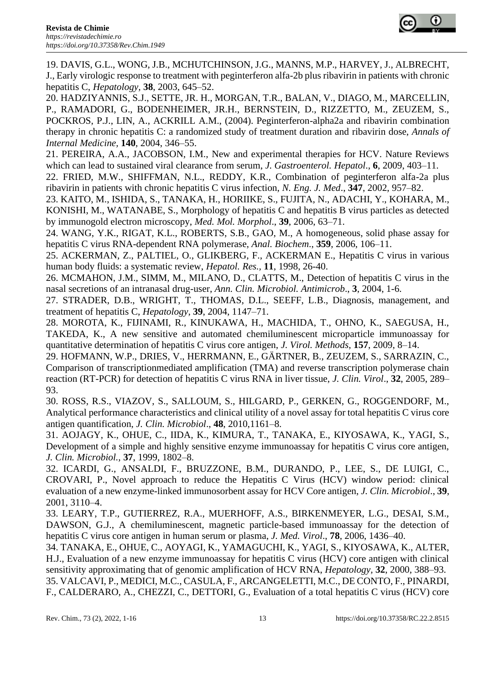

19. DAVIS, G.L., WONG, J.B., MCHUTCHINSON, J.G., MANNS, M.P., HARVEY, J., ALBRECHT, J., Early virologic response to treatment with peginterferon alfa-2b plus ribavirin in patients with chronic hepatitis C, *Hepatology,* **38**, 2003, 645–52.

20. HADZIYANNIS, S.J., SETTE, JR. H., MORGAN, T.R., BALAN, V., DIAGO, M., MARCELLIN, P., RAMADORI, G., BODENHEIMER, JR.H., BERNSTEIN, D., RIZZETTO, M., ZEUZEM, S., POCKROS, P.J., LIN, A., ACKRILL A.M., (2004). Peginterferon-alpha2a and ribavirin combination therapy in chronic hepatitis C: a randomized study of treatment duration and ribavirin dose, *Annals of Internal Medicine,* **140**, 2004, 346–55.

21. PEREIRA, A.A., JACOBSON, I.M., New and experimental therapies for HCV. Nature Reviews which can lead to sustained viral clearance from serum, *J. Gastroenterol. Hepatol*., **6**, 2009, 403–11.

22. FRIED, M.W., SHIFFMAN, N.L., REDDY, K.R., Combination of peginterferon alfa-2a plus ribavirin in patients with chronic hepatitis C virus infection, *N. Eng. J. Med*., **347**, 2002, 957–82.

23. KAITO, M., ISHIDA, S., TANAKA, H., HORIIKE, S., FUJITA, N., ADACHI, Y., KOHARA, M., KONISHI, M., WATANABE, S., Morphology of hepatitis C and hepatitis B virus particles as detected by immunogold electron microscopy, *Med. Mol. Morphol*., **39**, 2006, 63–71.

24. WANG, Y.K., RIGAT, K.L., ROBERTS, S.B., GAO, M., A homogeneous, solid phase assay for hepatitis C virus RNA-dependent RNA polymerase, *Anal. Biochem*., **359**, 2006, 106–11.

25. ACKERMAN, Z., PALTIEL, O., GLIKBERG, F., ACKERMAN E., Hepatitis C virus in various human body fluids: a systematic review, *Hepatol. Res.,* **11**, 1998, 26-40.

26. MCMAHON, J.M., SIMM, M., MILANO, D., CLATTS, M., Detection of hepatitis C virus in the nasal secretions of an intranasal drug-user, *Ann. Clin. Microbiol. Antimicrob*., **3**, 2004, 1-6.

27. STRADER, D.B., WRIGHT, T., THOMAS, D.L., SEEFF, L.B., Diagnosis, management, and treatment of hepatitis C, *Hepatology*, **39**, 2004, 1147–71.

28. MOROTA, K., FIJINAMI, R., KINUKAWA, H., MACHIDA, T., OHNO, K., SAEGUSA, H., TAKEDA, K., A new sensitive and automated chemiluminescent microparticle immunoassay for quantitative determination of hepatitis C virus core antigen, *J. Virol. Methods*, **157**, 2009, 8–14.

29. HOFMANN, W.P., DRIES, V., HERRMANN, E., GÄRTNER, B., ZEUZEM, S., SARRAZIN, C., Comparison of transcriptionmediated amplification (TMA) and reverse transcription polymerase chain reaction (RT-PCR) for detection of hepatitis C virus RNA in liver tissue, *J. Clin. Virol*., **32**, 2005, 289– 93.

30. ROSS, R.S., VIAZOV, S., SALLOUM, S., HILGARD, P., GERKEN, G., ROGGENDORF, M., Analytical performance characteristics and clinical utility of a novel assay for total hepatitis C virus core antigen quantification, *J. Clin. Microbiol*., **48**, 2010,1161–8.

31. AOJAGY, K., OHUE, C., IIDA, K., KIMURA, T., TANAKA, E., KIYOSAWA, K., YAGI, S., Development of a simple and highly sensitive enzyme immunoassay for hepatitis C virus core antigen, *J. Clin. Microbiol.,* **37**, 1999, 1802–8.

32. ICARDI, G., ANSALDI, F., BRUZZONE, B.M., DURANDO, P., LEE, S., DE LUIGI, C., CROVARI, P., Novel approach to reduce the Hepatitis C Virus (HCV) window period: clinical evaluation of a new enzyme-linked immunosorbent assay for HCV Core antigen, *J. Clin. Microbiol*., **39**, 2001, 3110–4.

33. LEARY, T.P., GUTIERREZ, R.A., MUERHOFF, A.S., BIRKENMEYER, L.G., DESAI, S.M., DAWSON, G.J., A chemiluminescent, magnetic particle-based immunoassay for the detection of hepatitis C virus core antigen in human serum or plasma, *J. Med. Virol*., **78**, 2006, 1436–40.

34. TANAKA, E., OHUE, C., AOYAGI, K., YAMAGUCHI, K., YAGI, S., KIYOSAWA, K., ALTER, H.J., Evaluation of a new enzyme immunoassay for hepatitis C virus (HCV) core antigen with clinical sensitivity approximating that of genomic amplification of HCV RNA, *Hepatology,* **32**, 2000, 388–93. 35. VALCAVI, P., MEDICI, M.C., CASULA, F., ARCANGELETTI, M.C., DE CONTO, F., PINARDI, F., CALDERARO, A., CHEZZI, C., DETTORI, G., Evaluation of a total hepatitis C virus (HCV) core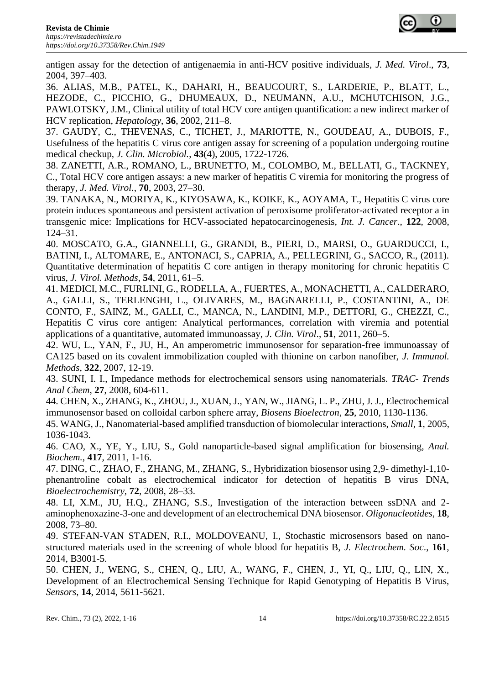antigen assay for the detection of antigenaemia in anti-HCV positive individuals, *J. Med. Virol*., **73**, 2004, 397–403.

36. ALIAS, M.B., PATEL, K., DAHARI, H., BEAUCOURT, S., LARDERIE, P., BLATT, L., HEZODE, C., PICCHIO, G., DHUMEAUX, D., NEUMANN, A.U., MCHUTCHISON, J.G., PAWLOTSKY, J.M., Clinical utility of total HCV core antigen quantification: a new indirect marker of HCV replication, *Hepatology*, **36**, 2002, 211–8.

37. GAUDY, C., THEVENAS, C., TICHET, J., MARIOTTE, N., GOUDEAU, A., DUBOIS, F., Usefulness of the hepatitis C virus core antigen assay for screening of a population undergoing routine medical checkup, *J. Clin. Microbiol.*, **43**(4), 2005, 1722-1726.

38. ZANETTI, A.R., ROMANO, L., BRUNETTO, M., COLOMBO, M., BELLATI, G., TACKNEY, C., Total HCV core antigen assays: a new marker of hepatitis C viremia for monitoring the progress of therapy, *J. Med. Virol.*, **70**, 2003, 27–30.

39. TANAKA, N., MORIYA, K., KIYOSAWA, K., KOIKE, K., AOYAMA, T., Hepatitis C virus core protein induces spontaneous and persistent activation of peroxisome proliferator-activated receptor a in transgenic mice: Implications for HCV-associated hepatocarcinogenesis, *Int. J. Cancer*., **122**, 2008, 124–31.

40. MOSCATO, G.A., GIANNELLI, G., GRANDI, B., PIERI, D., MARSI, O., GUARDUCCI, I., BATINI, I., ALTOMARE, E., ANTONACI, S., CAPRIA, A., PELLEGRINI, G., SACCO, R., (2011). Quantitative determination of hepatitis C core antigen in therapy monitoring for chronic hepatitis C virus, *J. Virol. Methods*, **54**, 2011, 61–5.

41. MEDICI, M.C., FURLINI, G., RODELLA, A., FUERTES, A., MONACHETTI, A., CALDERARO, A., GALLI, S., TERLENGHI, L., OLIVARES, M., BAGNARELLI, P., COSTANTINI, A., DE CONTO, F., SAINZ, M., GALLI, C., MANCA, N., LANDINI, M.P., DETTORI, G., CHEZZI, C., Hepatitis C virus core antigen: Analytical performances, correlation with viremia and potential applications of a quantitative, automated immunoassay, *J. Clin. Virol*., **51**, 2011, 260–5.

42. WU, L., YAN, F., JU, H., An amperometric immunosensor for separation-free immunoassay of CA125 based on its covalent immobilization coupled with thionine on carbon nanofiber, *J. Immunol. Methods*, **322**, 2007, 12-19.

43. SUNI, I. I., Impedance methods for electrochemical sensors using nanomaterials. *TRAC- Trends Anal Chem*, **27**, 2008, 604-611.

44. CHEN, X., ZHANG, K., ZHOU, J., XUAN, J., YAN, W., JIANG, L. P., ZHU, J. J., Electrochemical immunosensor based on colloidal carbon sphere array, *Biosens Bioelectron*, **25**, 2010, 1130-1136.

45. WANG, J., Nanomaterial-based amplified transduction of biomolecular interactions, *Small*, **1**, 2005, 1036-1043.

46. CAO, X., YE, Y., LIU, S., Gold nanoparticle-based signal amplification for biosensing, *Anal. Biochem.*, **417**, 2011, 1-16.

47. DING, C., ZHAO, F., ZHANG, M., ZHANG, S., Hybridization biosensor using 2,9- dimethyl-1,10 phenantroline cobalt as electrochemical indicator for detection of hepatitis B virus DNA, *Bioelectrochemistry,* **72**, 2008, 28–33.

48. LI, X.M., JU, H.Q., ZHANG, S.S., Investigation of the interaction between ssDNA and 2 aminophenoxazine-3-one and development of an electrochemical DNA biosensor. *Oligonucleotides*, **18**, 2008, 73–80.

49. STEFAN-VAN STADEN, R.I., MOLDOVEANU, I., Stochastic microsensors based on nanostructured materials used in the screening of whole blood for hepatitis B, *J. Electrochem. Soc*., **161**, 2014, B3001-5.

50. CHEN, J., WENG, S., CHEN, Q., LIU, A., WANG, F., CHEN, J., YI, Q., LIU, Q., LIN, X., Development of an Electrochemical Sensing Technique for Rapid Genotyping of Hepatitis B Virus, *Sensors*, **14**, 2014, 5611-5621.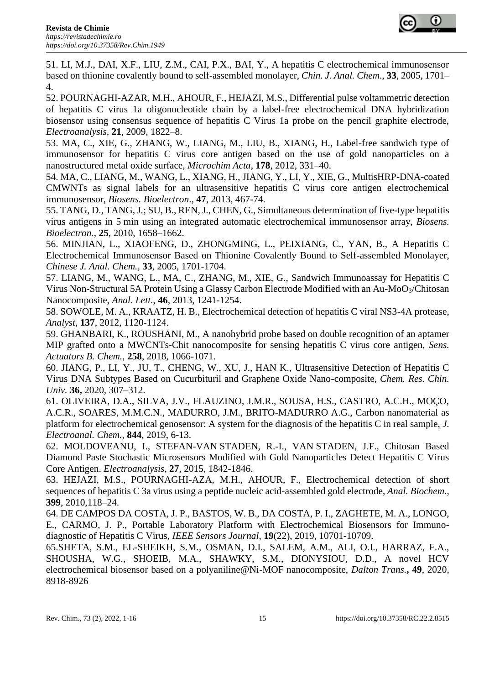

51. LI, M.J., DAI, X.F., LIU, Z.M., CAI, P.X., BAI, Y., A hepatitis C electrochemical immunosensor based on thionine covalently bound to self-assembled monolayer, *Chin. J. Anal. Chem*., **33**, 2005, 1701– 4.

52. POURNAGHI-AZAR, M.H., AHOUR, F., HEJAZI, M.S., Differential pulse voltammetric detection of hepatitis C virus 1a oligonucleotide chain by a label-free electrochemical DNA hybridization biosensor using consensus sequence of hepatitis C Virus 1a probe on the pencil graphite electrode, *Electroanalysis,* **21**, 2009, 1822–8.

53. MA, C., XIE, G., ZHANG, W., LIANG, M., LIU, B., XIANG, H., Label-free sandwich type of immunosensor for hepatitis C virus core antigen based on the use of gold nanoparticles on a nanostructured metal oxide surface, *Microchim Acta*, **178**, 2012, 331–40.

54. [MA,](http://www.sciencedirect.com/science/article/pii/S0956566313002285) C., [LIANG,](http://www.sciencedirect.com/science/article/pii/S0956566313002285) M., [WANG,](http://www.sciencedirect.com/science/article/pii/S0956566313002285) L., XIANG, H., JIANG, Y., LI, Y., XIE, G., MultisHRP-DNA-coated CMWNTs as signal labels for an ultrasensitive hepatitis C virus core antigen electrochemical immunosensor, *Biosens. Bioelectron*., **47**, 2013, 467-74.

55. TANG, D., [TANG,](http://www.sciencedirect.com/science/article/pii/S095656630900640X) J.; SU, B., REN, J., CHEN, G., Simultaneous determination of five-type hepatitis virus antigens in 5 min using an integrated automatic electrochemical immunosensor array, *Biosens. Bioelectron.*, **25**, 2010, 1658–1662.

56. MINJIAN, L., XIAOFENG, D., ZHONGMING, L., PEIXIANG, C., YAN, B., A Hepatitis C Electrochemical Immunosensor Based on Thionine Covalently Bound to Self-assembled Monolayer, *Chinese J. Anal. Chem.,* **33**, 2005, 1701-1704.

57. LIANG, M., WANG, L., MA, C., ZHANG, M., XIE, G., Sandwich Immunoassay for Hepatitis C Virus Non-Structural 5A Protein Using a Glassy Carbon Electrode Modified with an Au-MoO3/Chitosan Nanocomposite, *Anal. Lett.*, **46**, 2013, 1241-1254.

58. SOWOLE, M. A., KRAATZ, H. B., Electrochemical detection of hepatitis C viral NS3-4A protease, *Analyst*, **137**, 2012, 1120-1124.

59. GHANBARI, K., ROUSHANI, M., A nanohybrid probe based on double recognition of an aptamer MIP grafted onto a MWCNTs-Chit nanocomposite for sensing hepatitis C virus core antigen, *Sens. Actuators B. Chem.*, **258**, 2018, 1066-1071.

60. JIANG, P., LI, Y., JU, T., CHENG, W., XU, J., HAN K*.,* Ultrasensitive Detection of Hepatitis C Virus DNA Subtypes Based on Cucurbituril and Graphene Oxide Nano-composite, *Chem. Res. Chin. Univ.* **36,** 2020, 307–312.

61. OLIVEIRA, D.A., SILVA, J.V., FLAUZINO, J.M.R., SOUSA, H.S., CASTRO, A.C.H., MOÇO, A.C.R., SOARES, M.M.C.N., MADURRO, J.M., BRITO-MADURRO A.G., Carbon nanomaterial as platform for electrochemical genosensor: A system for the diagnosis of the hepatitis C in real sample, *J. Electroanal. Chem.,* **844**, 2019, 6-13.

62. MOLDOVEANU, I., STEFAN-VAN STADEN, R.-I., VAN STADEN, J.F., Chitosan Based Diamond Paste Stochastic Microsensors Modified with Gold Nanoparticles Detect Hepatitis C Virus Core Antigen. *Electroanalysis*, **27**, 2015, 1842-1846.

63. HEJAZI, M.S., POURNAGHI-AZA, M.H., AHOUR, F., Electrochemical detection of short sequences of hepatitis C 3a virus using a peptide nucleic acid-assembled gold electrode, *Anal. Biochem*., **399**, 2010,118–24.

64. DE CAMPOS DA COSTA, J. P., BASTOS, W. B., DA COSTA, P. I., ZAGHETE, M. A., LONGO, E., CARMO, J. P., Portable Laboratory Platform with Electrochemical Biosensors for Immunodiagnostic of Hepatitis C Virus, *IEEE Sensors Journal*, **19**(22), 2019, 10701-10709.

65.SHETA, S.M., EL-SHEIKH, S.M., OSMAN, D.I., SALEM, A.M., ALI, O.I., HARRAZ, F.A., SHOUSHA, W.G., SHOEIB, M.A., SHAWKY, S.M., DIONYSIOU, D.D., A novel HCV electrochemical biosensor based on a polyaniline@Ni-MOF nanocomposite, *Dalton Trans.***, 49**, 2020, 8918-8926